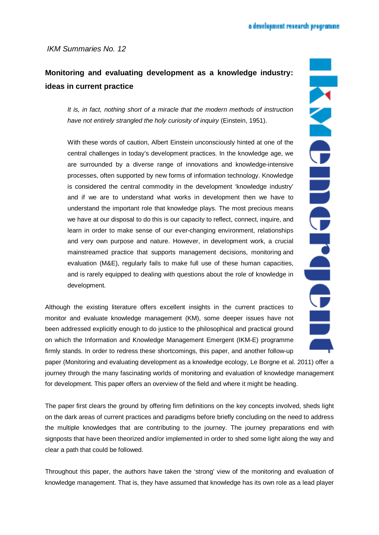## **Monitoring and evaluating development as a knowledge industry: ideas in current practice**

*It is, in fact, nothing short of a miracle that the modern methods of instruction have not entirely strangled the holy curiosity of inquiry* (Einstein, 1951).

With these words of caution, Albert Einstein unconsciously hinted at one of the central challenges in today's development practices. In the knowledge age, we are surrounded by a diverse range of innovations and knowledge-intensive processes, often supported by new forms of information technology. Knowledge is considered the central commodity in the development 'knowledge industry' and if we are to understand what works in development then we have to understand the important role that knowledge plays. The most precious means we have at our disposal to do this is our capacity to reflect, connect, inquire, and learn in order to make sense of our ever-changing environment, relationships and very own purpose and nature. However, in development work, a crucial mainstreamed practice that supports management decisions, monitoring and evaluation (M&E), regularly fails to make full use of these human capacities, and is rarely equipped to dealing with questions about the role of knowledge in development.

Although the existing literature offers excellent insights in the current practices to monitor and evaluate knowledge management (KM), some deeper issues have not been addressed explicitly enough to do justice to the philosophical and practical ground on which the Information and Knowledge Management Emergent (IKM-E) programme firmly stands. In order to redress these shortcomings, this paper, and another follow-up

paper (Monitoring and evaluating development as a knowledge ecology, Le Borgne et al. 2011) offer a journey through the many fascinating worlds of monitoring and evaluation of knowledge management for development. This paper offers an overview of the field and where it might be heading.

The paper first clears the ground by offering firm definitions on the key concepts involved, sheds light on the dark areas of current practices and paradigms before briefly concluding on the need to address the multiple knowledges that are contributing to the journey. The journey preparations end with signposts that have been theorized and/or implemented in order to shed some light along the way and clear a path that could be followed.

Throughout this paper, the authors have taken the 'strong' view of the monitoring and evaluation of knowledge management. That is, they have assumed that knowledge has its own role as a lead player